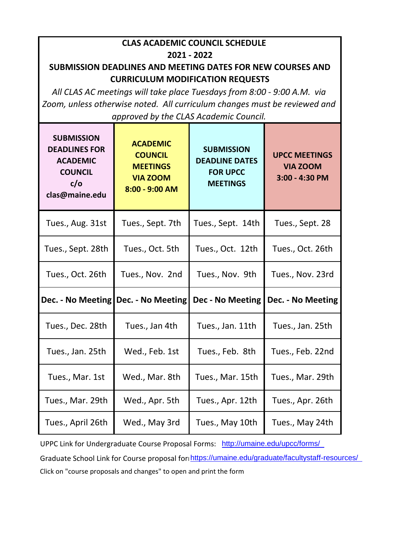| <b>CLAS ACADEMIC COUNCIL SCHEDULE</b><br>2021 - 2022                                                                |                                                                                           |                                                                                  |                                                           |
|---------------------------------------------------------------------------------------------------------------------|-------------------------------------------------------------------------------------------|----------------------------------------------------------------------------------|-----------------------------------------------------------|
| <b>SUBMISSION DEADLINES AND MEETING DATES FOR NEW COURSES AND</b>                                                   |                                                                                           |                                                                                  |                                                           |
| <b>CURRICULUM MODIFICATION REQUESTS</b><br>All CLAS AC meetings will take place Tuesdays from 8:00 - 9:00 A.M. via  |                                                                                           |                                                                                  |                                                           |
| Zoom, unless otherwise noted. All curriculum changes must be reviewed and<br>approved by the CLAS Academic Council. |                                                                                           |                                                                                  |                                                           |
| <b>SUBMISSION</b><br><b>DEADLINES FOR</b><br><b>ACADEMIC</b><br><b>COUNCIL</b><br>c/o<br>clas@maine.edu             | <b>ACADEMIC</b><br><b>COUNCIL</b><br><b>MEETINGS</b><br><b>VIA ZOOM</b><br>8:00 - 9:00 AM | <b>SUBMISSION</b><br><b>DEADLINE DATES</b><br><b>FOR UPCC</b><br><b>MEETINGS</b> | <b>UPCC MEETINGS</b><br><b>VIA ZOOM</b><br>3:00 - 4:30 PM |
| Tues., Aug. 31st                                                                                                    | Tues., Sept. 7th                                                                          | Tues., Sept. 14th                                                                | Tues., Sept. 28                                           |
| Tues., Sept. 28th                                                                                                   | Tues., Oct. 5th                                                                           | Tues., Oct. 12th                                                                 | Tues., Oct. 26th                                          |
| Tues., Oct. 26th                                                                                                    | Tues., Nov. 2nd                                                                           | Tues., Nov. 9th                                                                  | Tues., Nov. 23rd                                          |
|                                                                                                                     | Dec. - No Meeting   Dec. - No Meeting                                                     | <b>Dec - No Meeting</b>                                                          | Dec. - No Meeting                                         |
| Tues., Dec. 28th                                                                                                    | Tues., Jan 4th                                                                            | Tues., Jan. 11th                                                                 | Tues., Jan. 25th                                          |
| Tues., Jan. 25th                                                                                                    | Wed., Feb. 1st                                                                            | Tues., Feb. 8th                                                                  | Tues., Feb. 22nd                                          |
| Tues., Mar. 1st                                                                                                     | Wed., Mar. 8th                                                                            | Tues., Mar. 15th                                                                 | Tues., Mar. 29th                                          |
| Tues., Mar. 29th                                                                                                    | Wed., Apr. 5th                                                                            | Tues., Apr. 12th                                                                 | Tues., Apr. 26th                                          |
| Tues., April 26th                                                                                                   | Wed., May 3rd                                                                             | Tues., May 10th                                                                  | Tues., May 24th                                           |

UPPC Link for Undergraduate Course Proposal Forms: http://umaine.edu/upcc/forms/ Graduate School Link for Course proposal for https://umaine.edu/graduate/facultystaff-resources/ Click on "course proposals and changes" to open and print the form